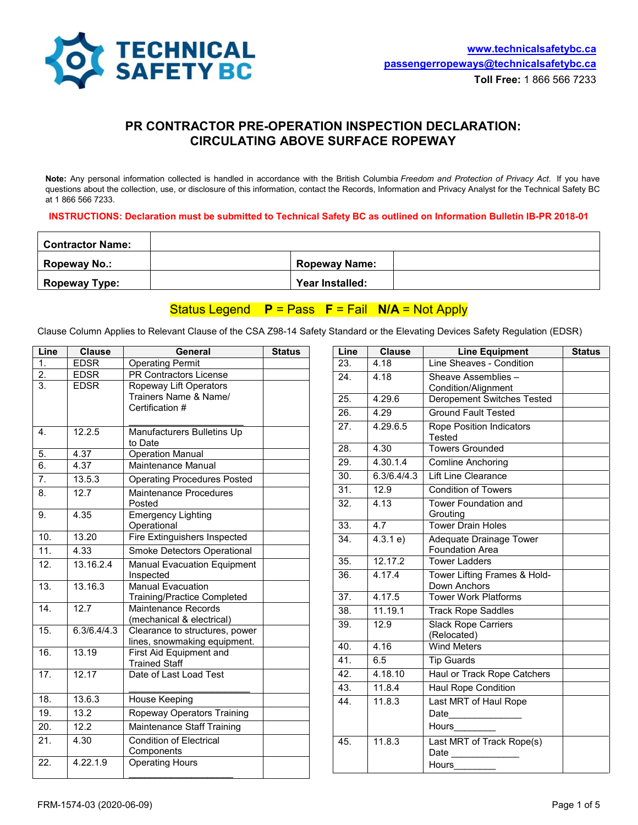

## **PR CONTRACTOR PRE-OPERATION INSPECTION DECLARATION: CIRCULATING ABOVE SURFACE ROPEWAY**

**Note:** Any personal information collected is handled in accordance with the British Columbia *Freedom and Protection of Privacy Act*. If you have questions about the collection, use, or disclosure of this information, contact the Records, Information and Privacy Analyst for the Technical Safety BC at 1 866 566 7233.

## **INSTRUCTIONS: Declaration must be submitted to Technical Safety BC as outlined on Information Bulletin IB-PR 2018-01**

| <b>Contractor Name:</b> |                 |                      |
|-------------------------|-----------------|----------------------|
| Ropeway No.:            |                 | <b>Ropeway Name:</b> |
| Ropeway Type:           | Year Installed: |                      |

## Status Legend **P** = Pass **F** = Fail **N/A** = Not Apply

Clause Column Applies to Relevant Clause of the CSA Z98-14 Safety Standard or the Elevating Devices Safety Regulation (EDSR)

| Line             | <b>Clause</b> | General                                                                   | <b>Status</b> |
|------------------|---------------|---------------------------------------------------------------------------|---------------|
| $\overline{1}$ . | <b>EDSR</b>   | <b>Operating Permit</b>                                                   |               |
| $\frac{2}{3}$    | <b>EDSR</b>   | PR Contractors License                                                    |               |
|                  | <b>EDSR</b>   | <b>Ropeway Lift Operators</b><br>Trainers Name & Name/<br>Certification # |               |
| $\overline{4}$ . | 12.2.5        | Manufacturers Bulletins Up<br>to Date                                     |               |
| 5.               | 4.37          | <b>Operation Manual</b>                                                   |               |
| 6.               | 4.37          | <b>Maintenance Manual</b>                                                 |               |
| $\overline{7}$ . | 13.5.3        | <b>Operating Procedures Posted</b>                                        |               |
| 8.               | 12.7          | Maintenance Procedures<br>Posted                                          |               |
| 9.               | 4.35          | <b>Emergency Lighting</b><br>Operational                                  |               |
| 10.              | 13.20         | <b>Fire Extinguishers Inspected</b>                                       |               |
| 11.              | 4.33          | Smoke Detectors Operational                                               |               |
| 12.              | 13.16.2.4     | <b>Manual Evacuation Equipment</b><br>Inspected                           |               |
| 13.              | 13.16.3       | Manual Evacuation<br>Training/Practice Completed                          |               |
| 14.              | 12.7          | Maintenance Records<br>(mechanical & electrical)                          |               |
| 15.              | 6.3/6.4/4.3   | Clearance to structures, power<br>lines, snowmaking equipment.            |               |
| 16.              | 13.19         | <b>First Aid Equipment and</b><br><b>Trained Staff</b>                    |               |
| 17.              | 12.17         | Date of Last Load Test                                                    |               |
| 18.              | 13.6.3        | House Keeping                                                             |               |
| 19.              | 13.2          | <b>Ropeway Operators Training</b>                                         |               |
| 20.              | 12.2          | Maintenance Staff Training                                                |               |
| 21.              | 4.30          | <b>Condition of Electrical</b><br>Components                              |               |
| 22.              | 4.22.1.9      | <b>Operating Hours</b>                                                    |               |

| Line              | <b>Clause</b>     | <b>Line Equipment</b>                             | <b>Status</b> |
|-------------------|-------------------|---------------------------------------------------|---------------|
| 23.               | $\overline{4}.18$ | Line Sheaves - Condition                          |               |
| 24.               | 4.18              | Sheave Assemblies -<br>Condition/Alignment        |               |
| 25.               | 4.29.6            | <b>Deropement Switches Tested</b>                 |               |
| 26.               | 4.29              | <b>Ground Fault Tested</b>                        |               |
| 27.               | 4.29.6.5          | <b>Rope Position Indicators</b><br><b>Tested</b>  |               |
| 28.               | 4.30              | <b>Towers Grounded</b>                            |               |
| 29.               | 4.30.1.4          | <b>Comline Anchoring</b>                          |               |
| 30.               | 6.3/6.4/4.3       | <b>Lift Line Clearance</b>                        |               |
| 31.               | 12.9              | <b>Condition of Towers</b>                        |               |
| 32.               | 4.13              | <b>Tower Foundation and</b><br>Grouting           |               |
| 33.               | 4.7               | <b>Tower Drain Holes</b>                          |               |
| 34.               | 4.3.1 e)          | Adequate Drainage Tower<br><b>Foundation Area</b> |               |
| 35.               | 12.17.2           | <b>Tower Ladders</b>                              |               |
| $\overline{36}$ . | 4.17.4            | Tower Lifting Frames & Hold-<br>Down Anchors      |               |
| 37.               | 4.17.5            | <b>Tower Work Platforms</b>                       |               |
| 38.               | 11.19.1           | <b>Track Rope Saddles</b>                         |               |
| 39.               | 12.9              | <b>Slack Rope Carriers</b><br>(Relocated)         |               |
| 40.               | 4.16              | <b>Wind Meters</b>                                |               |
| 41.               | 6.5               | <b>Tip Guards</b>                                 |               |
| 42.               | 4.18.10           | Haul or Track Rope Catchers                       |               |
| 43.               | 11.8.4            | <b>Haul Rope Condition</b>                        |               |
| 44.               | 11.8.3            | Last MRT of Haul Rope<br>Date<br>Hours            |               |
| 45.               | 11.8.3            | Last MRT of Track Rope(s)<br>Date<br><b>Hours</b> |               |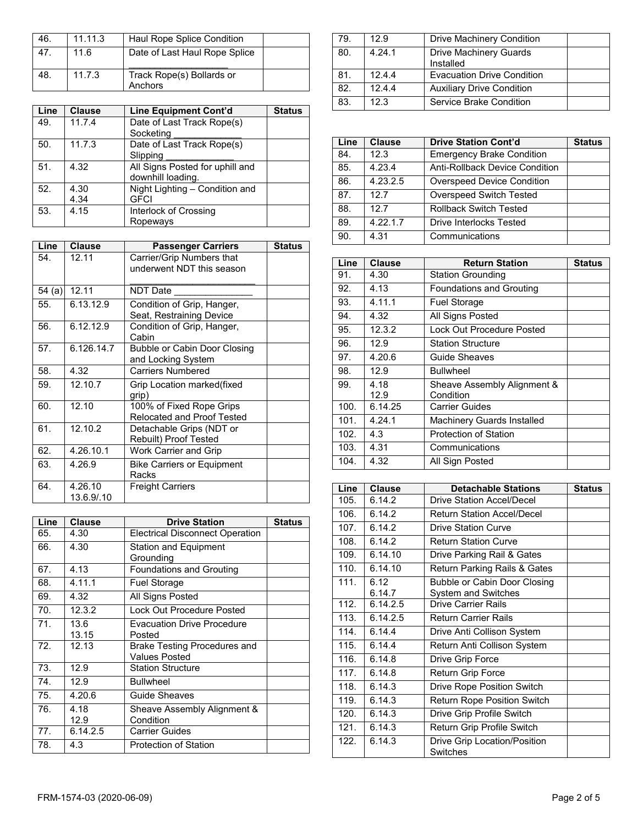| 46. | 11.11.3 | Haul Rope Splice Condition           |  |
|-----|---------|--------------------------------------|--|
| 47. | 11.6    | Date of Last Haul Rope Splice        |  |
| 48. | 11.7.3  | Track Rope(s) Bollards or<br>Anchors |  |

| Line | <b>Clause</b> | <b>Line Equipment Cont'd</b>    | <b>Status</b> |
|------|---------------|---------------------------------|---------------|
| 49.  | 11.7.4        | Date of Last Track Rope(s)      |               |
|      |               | Socketing                       |               |
| 50.  | 11.7.3        | Date of Last Track Rope(s)      |               |
|      |               | Slipping                        |               |
| 51.  | 4.32          | All Signs Posted for uphill and |               |
|      |               | downhill loading.               |               |
| 52.  | 4.30          | Night Lighting - Condition and  |               |
|      | 4.34          | GFCI                            |               |
| 53.  | 4.15          | Interlock of Crossing           |               |
|      |               | Ropeways                        |               |

| Line   | <b>Clause</b>         | <b>Passenger Carriers</b>                              | <b>Status</b> |
|--------|-----------------------|--------------------------------------------------------|---------------|
| 54.    | 12.11                 | Carrier/Grip Numbers that<br>underwent NDT this season |               |
| 54 (a) | 12.11                 | NDT Date                                               |               |
| 55.    | 6.13.12.9             | Condition of Grip, Hanger,<br>Seat, Restraining Device |               |
| 56.    | 6.12.12.9             | Condition of Grip, Hanger,<br>Cabin                    |               |
| 57.    | 6.126.14.7            | Bubble or Cabin Door Closing<br>and Locking System     |               |
| 58.    | 4.32                  | <b>Carriers Numbered</b>                               |               |
| 59.    | 12.10.7               | Grip Location marked(fixed<br>grip)                    |               |
| 60.    | 12.10                 | 100% of Fixed Rope Grips<br>Relocated and Proof Tested |               |
| 61.    | 12.10.2               | Detachable Grips (NDT or<br>Rebuilt) Proof Tested      |               |
| 62.    | 4.26.10.1             | Work Carrier and Grip                                  |               |
| 63.    | 4.26.9                | <b>Bike Carriers or Equipment</b><br>Racks             |               |
| 64.    | 4.26.10<br>13.6.9/.10 | <b>Freight Carriers</b>                                |               |

| Line       | <b>Clause</b>            | <b>Drive Station</b>                                              | <b>Status</b> |
|------------|--------------------------|-------------------------------------------------------------------|---------------|
| 65.        | 4.30                     | <b>Electrical Disconnect Operation</b>                            |               |
| 66.        | 4.30                     | <b>Station and Equipment</b><br>Grounding                         |               |
| 67.        | 4.13                     | <b>Foundations and Grouting</b>                                   |               |
| 68.        | 4.11.1                   | <b>Fuel Storage</b>                                               |               |
| 69.        | 4.32                     | All Signs Posted                                                  |               |
| 70.        | 12.3.2                   | Lock Out Procedure Posted                                         |               |
| 71.        | 13.6<br>13.15            | <b>Evacuation Drive Procedure</b><br>Posted                       |               |
| 72.        | 12.13                    | Brake Testing Procedures and<br><b>Values Posted</b>              |               |
| 73.        | 12.9                     | <b>Station Structure</b>                                          |               |
| 74.        | 12.9                     | <b>Bullwheel</b>                                                  |               |
| 75.        | 4.20.6                   | <b>Guide Sheaves</b>                                              |               |
| 76.<br>77. | 4.18<br>12.9<br>6.14.2.5 | Sheave Assembly Alignment &<br>Condition<br><b>Carrier Guides</b> |               |
| 78.        | 4.3                      | <b>Protection of Station</b>                                      |               |

| 79. | 12.9   | <b>Drive Machinery Condition</b>           |  |
|-----|--------|--------------------------------------------|--|
| 80. | 4.24.1 | <b>Drive Machinery Guards</b><br>Installed |  |
| 81. | 12.4.4 | <b>Evacuation Drive Condition</b>          |  |
| 82. | 12.4.4 | <b>Auxiliary Drive Condition</b>           |  |
| 83. | 12.3   | Service Brake Condition                    |  |

| Line | <b>Clause</b> | <b>Drive Station Cont'd</b>           | <b>Status</b> |
|------|---------------|---------------------------------------|---------------|
| 84.  | 12.3          | <b>Emergency Brake Condition</b>      |               |
| 85.  | 4.23.4        | <b>Anti-Rollback Device Condition</b> |               |
| 86.  | 4.23.2.5      | <b>Overspeed Device Condition</b>     |               |
| 87.  | 12.7          | Overspeed Switch Tested               |               |
| 88.  | 127           | <b>Rollback Switch Tested</b>         |               |
| 89.  | 4.22.1.7      | Drive Interlocks Tested               |               |
| 90.  | 4.31          | Communications                        |               |

| Line | <b>Clause</b> | <b>Return Station</b>           | <b>Status</b> |
|------|---------------|---------------------------------|---------------|
| 91.  | 4.30          | <b>Station Grounding</b>        |               |
| 92.  | 4.13          | <b>Foundations and Grouting</b> |               |
| 93.  | 4.11.1        | <b>Fuel Storage</b>             |               |
| 94.  | 4.32          | All Signs Posted                |               |
| 95.  | 12.3.2        | Lock Out Procedure Posted       |               |
| 96.  | 12.9          | <b>Station Structure</b>        |               |
| 97.  | 4.20.6        | Guide Sheaves                   |               |
| 98.  | 12.9          | <b>Bullwheel</b>                |               |
| 99.  | 4.18          | Sheave Assembly Alignment &     |               |
|      | 12.9          | Condition                       |               |
| 100. | 6.14.25       | <b>Carrier Guides</b>           |               |
| 101. | 4.24.1        | Machinery Guards Installed      |               |
| 102. | 4.3           | <b>Protection of Station</b>    |               |
| 103. | 4.31          | Communications                  |               |
| 104. | 4.32          | All Sign Posted                 |               |

| Line | Clause         | <b>Detachable Stations</b>                          | <b>Status</b> |
|------|----------------|-----------------------------------------------------|---------------|
| 105. | 6.14.2         | <b>Drive Station Accel/Decel</b>                    |               |
| 106. | 6.14.2         | <b>Return Station Accel/Decel</b>                   |               |
| 107. | 6.14.2         | <b>Drive Station Curve</b>                          |               |
| 108. | 6.14.2         | <b>Return Station Curve</b>                         |               |
| 109. | 6.14.10        | Drive Parking Rail & Gates                          |               |
| 110. | 6.14.10        | <b>Return Parking Rails &amp; Gates</b>             |               |
| 111. | 6.12<br>6.14.7 | Bubble or Cabin Door Closing<br>System and Switches |               |
| 112. | 6.14.2.5       | <b>Drive Carrier Rails</b>                          |               |
| 113. | 6.14.2.5       | <b>Return Carrier Rails</b>                         |               |
| 114. | 6.14.4         | Drive Anti Collison System                          |               |
| 115. | 6.14.4         | Return Anti Collison System                         |               |
| 116. | 6.14.8         | Drive Grip Force                                    |               |
| 117. | 6.14.8         | Return Grip Force                                   |               |
| 118. | 6.14.3         | <b>Drive Rope Position Switch</b>                   |               |
| 119. | 6.14.3         | <b>Return Rope Position Switch</b>                  |               |
| 120. | 6.14.3         | Drive Grip Profile Switch                           |               |
| 121. | 6.14.3         | Return Grip Profile Switch                          |               |
| 122. | 6.14.3         | Drive Grip Location/Position<br>Switches            |               |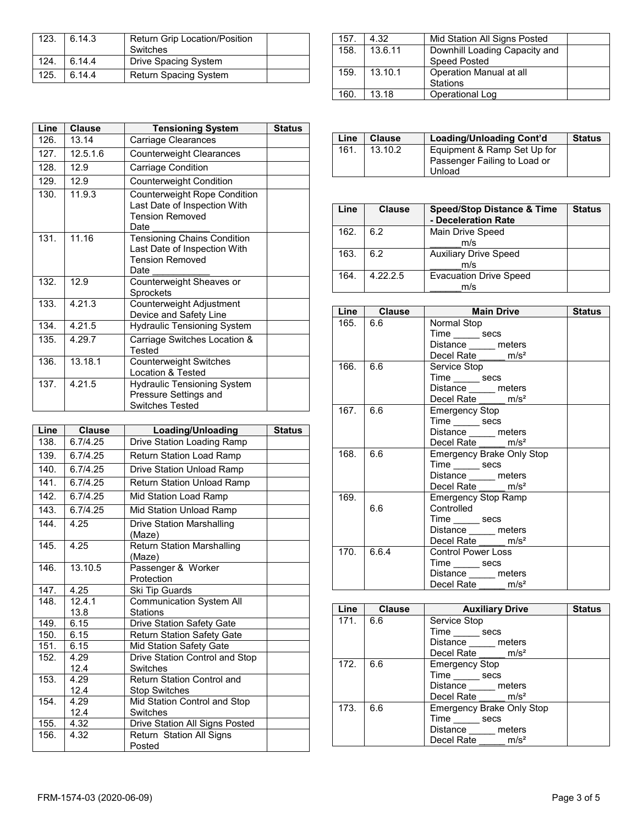|      | 123.   6.14.3 | <b>Return Grip Location/Position</b><br><b>Switches</b> |  |
|------|---------------|---------------------------------------------------------|--|
| 124. | 6.14.4        | <b>Drive Spacing System</b>                             |  |
| 125. | 6.14.4        | <b>Return Spacing System</b>                            |  |

| 157. | 4.32    | Mid Station All Signs Posted  |  |
|------|---------|-------------------------------|--|
| 158. | 13.6.11 | Downhill Loading Capacity and |  |
|      |         | Speed Posted                  |  |
| 159. | 13.10.1 | Operation Manual at all       |  |
|      |         | <b>Stations</b>               |  |
| 160. | 13.18   | Operational Log               |  |

| Line | <b>Clause</b> | <b>Tensioning System</b>                                                                             | <b>Status</b> |
|------|---------------|------------------------------------------------------------------------------------------------------|---------------|
| 126. | 13.14         | Carriage Clearances                                                                                  |               |
| 127. | 12.5.1.6      | <b>Counterweight Clearances</b>                                                                      |               |
| 128. | 12.9          | Carriage Condition                                                                                   |               |
| 129. | 12.9          | <b>Counterweight Condition</b>                                                                       |               |
| 130. | 11.9.3        | Counterweight Rope Condition<br>Last Date of Inspection With<br><b>Tension Removed</b><br>Date       |               |
| 131. | 11.16         | <b>Tensioning Chains Condition</b><br>Last Date of Inspection With<br><b>Tension Removed</b><br>Date |               |
| 132. | 12.9          | Counterweight Sheaves or<br>Sprockets                                                                |               |
| 133. | 4.21.3        | Counterweight Adjustment<br>Device and Safety Line                                                   |               |
| 134. | 4.21.5        | <b>Hydraulic Tensioning System</b>                                                                   |               |
| 135. | 4.29.7        | Carriage Switches Location &<br>Tested                                                               |               |
| 136. | 13.18.1       | <b>Counterweight Switches</b><br><b>Location &amp; Tested</b>                                        |               |
| 137. | 4.21.5        | <b>Hydraulic Tensioning System</b><br>Pressure Settings and<br><b>Switches Tested</b>                |               |

| Line | <b>Clause</b>  | Loading/Unloading                                  | <b>Status</b> |
|------|----------------|----------------------------------------------------|---------------|
| 138. | 6.7/4.25       | Drive Station Loading Ramp                         |               |
| 139. | 6.7/4.25       | <b>Return Station Load Ramp</b>                    |               |
| 140. | 6.7/4.25       | Drive Station Unload Ramp                          |               |
| 141. | 6.7/4.25       | <b>Return Station Unload Ramp</b>                  |               |
| 142. | 6.7/4.25       | Mid Station Load Ramp                              |               |
| 143. | 6.7/4.25       | Mid Station Unload Ramp                            |               |
| 144. | 4.25           | Drive Station Marshalling<br>(Maze)                |               |
| 145. | 4.25           | <b>Return Station Marshalling</b><br>(Maze)        |               |
| 146. | 13.10.5        | Passenger & Worker<br>Protection                   |               |
| 147. | 4.25           | Ski Tip Guards                                     |               |
| 148. | 12.4.1<br>13.8 | <b>Communication System All</b><br><b>Stations</b> |               |
| 149. | 6.15           | <b>Drive Station Safety Gate</b>                   |               |
| 150. | 6.15           | <b>Return Station Safety Gate</b>                  |               |
| 151. | 6.15           | Mid Station Safety Gate                            |               |
| 152. | 4.29<br>12.4   | Drive Station Control and Stop<br>Switches         |               |
| 153. | 4.29           | <b>Return Station Control and</b>                  |               |
|      | 12.4           | <b>Stop Switches</b>                               |               |
| 154. | 4.29           | Mid Station Control and Stop                       |               |
|      | 12.4           | Switches                                           |               |
| 155. | 4.32           | Drive Station All Signs Posted                     |               |
| 156. | 4.32           | Return Station All Signs<br>Posted                 |               |

| Line | <b>Clause</b> | Loading/Unloading Cont'd                                              | <b>Status</b> |
|------|---------------|-----------------------------------------------------------------------|---------------|
| 161. | 13.10.2       | Equipment & Ramp Set Up for<br>Passenger Failing to Load or<br>Unload |               |

| Line | <b>Clause</b> | <b>Speed/Stop Distance &amp; Time</b><br>- Deceleration Rate | <b>Status</b> |
|------|---------------|--------------------------------------------------------------|---------------|
| 162. | 6.2           | Main Drive Speed                                             |               |
|      |               | m/s                                                          |               |
| 163. | 6.2           | <b>Auxiliary Drive Speed</b>                                 |               |
|      |               | m/s                                                          |               |
| 164. | 4.22.2.5      | <b>Evacuation Drive Speed</b>                                |               |
|      |               | m/s                                                          |               |

|      | Line   Clause | <b>Main Drive</b>              | <b>Status</b> |
|------|---------------|--------------------------------|---------------|
| 165. | 6.6           | Normal Stop                    |               |
|      |               | Time _______ secs              |               |
|      |               | Distance _____ meters          |               |
|      |               | Decel Rate $m/s^2$             |               |
| 166. | 6.6           | Service Stop                   |               |
|      |               | $Time_{\_\_\_\_\}$ secs        |               |
|      |               | Distance _____ meters          |               |
|      |               | Decel Rate $m/s^2$             |               |
| 167. | 6.6           | Emergency Stop                 |               |
|      |               | Time ______ secs               |               |
|      |               | Distance _____ meters          |               |
|      |               | Decel Rate m/s <sup>2</sup>    |               |
| 168. | 6.6           | Emergency Brake Only Stop      |               |
|      |               | Time _______ secs              |               |
|      |               | Distance _____ meters          |               |
|      |               | Decel Rate m/s <sup>2</sup>    |               |
| 169. |               | Emergency Stop Ramp            |               |
|      | 6.6           | Controlled                     |               |
|      |               | Time ______ secs               |               |
|      |               | Distance _____ meters          |               |
|      |               | Decel Rate $m/s^2$             |               |
|      | $170.$ 6.6.4  | <b>Control Power Loss</b>      |               |
|      |               | Time ______ secs               |               |
|      |               | Distance meters                |               |
|      |               | Decel Rate<br>m/s <sup>2</sup> |               |

| Line | <b>Clause</b> | <b>Auxiliary Drive</b>           | <b>Status</b> |
|------|---------------|----------------------------------|---------------|
| 171. | 6.6           | Service Stop                     |               |
|      |               | Time ____ secs                   |               |
|      |               | Distance meters                  |               |
|      |               | Decel Rate $m/s^2$               |               |
| 172. | 6.6           | <b>Emergency Stop</b>            |               |
|      |               | Time secs                        |               |
|      |               | Distance meters                  |               |
|      |               | Decel Rate $m/s^2$               |               |
| 173. | 6.6           | <b>Emergency Brake Only Stop</b> |               |
|      |               | Time secs                        |               |
|      |               | Distance meters                  |               |
|      |               | Decel Rate m/s <sup>2</sup>      |               |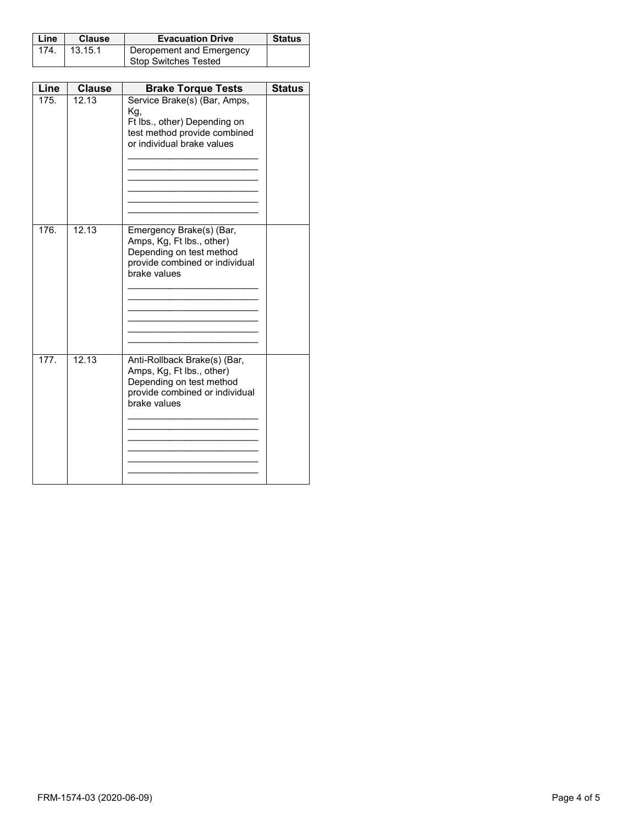| Line | <b>Clause</b>    | <b>Evacuation Drive</b>                                 | <b>Status</b> |
|------|------------------|---------------------------------------------------------|---------------|
|      | $174.$   13.15.1 | Deropement and Emergency<br><b>Stop Switches Tested</b> |               |

| Line | <b>Clause</b> | <b>Brake Torque Tests</b>                                                                                                               | <b>Status</b> |
|------|---------------|-----------------------------------------------------------------------------------------------------------------------------------------|---------------|
| 175. | 12.13         | Service Brake(s) (Bar, Amps,<br>Kg,<br>Ft lbs., other) Depending on<br>test method provide combined<br>or individual brake values       |               |
| 176. | 12.13         | Emergency Brake(s) (Bar,<br>Amps, Kg, Ft lbs., other)<br>Depending on test method<br>provide combined or individual<br>brake values     |               |
| 177. | 12.13         | Anti-Rollback Brake(s) (Bar,<br>Amps, Kg, Ft lbs., other)<br>Depending on test method<br>provide combined or individual<br>brake values |               |